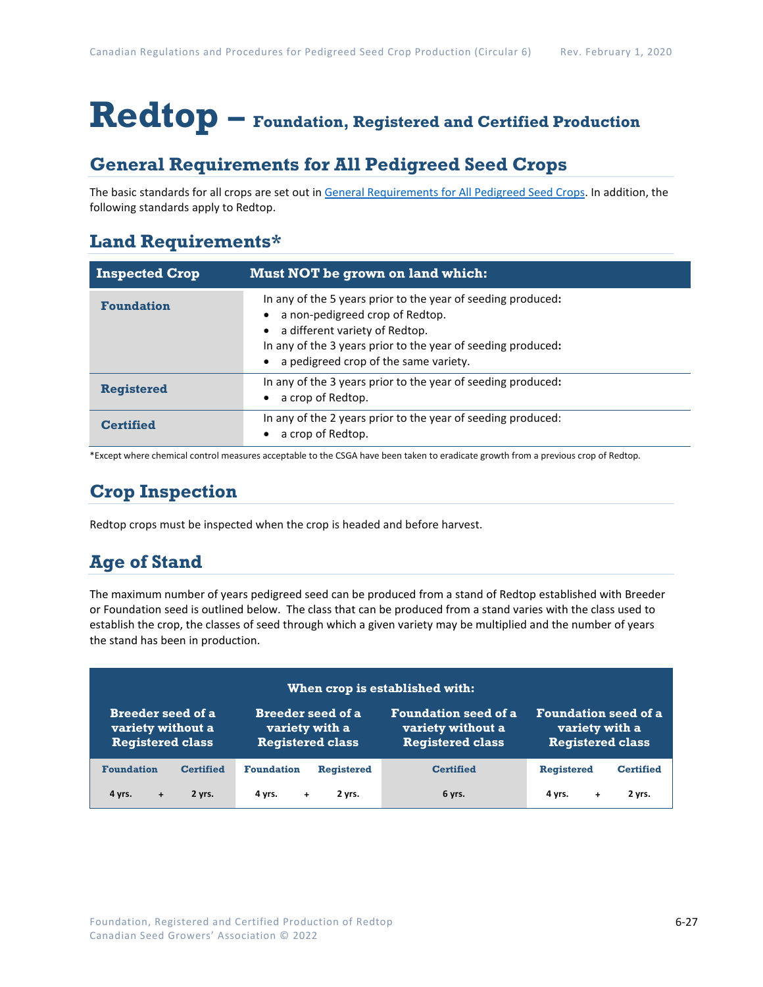# **Redtop – Foundation, Registered and Certified Production**

## **General Requirements for All Pedigreed Seed Crops**

The basic standards for all crops are set out i[n General Requirements for All Pedigreed Seed](https://seedgrowers.ca/wp-content/uploads/2020/01/GENERAL-REQUIREMENTS-ALL-CROPS_EN.pdf) Crops. In addition, the following standards apply to Redtop.

## **Land Requirements\***

| <b>Inspected Crop</b> | Must NOT be grown on land which:                                                                                                                                                                                                           |
|-----------------------|--------------------------------------------------------------------------------------------------------------------------------------------------------------------------------------------------------------------------------------------|
| <b>Foundation</b>     | In any of the 5 years prior to the year of seeding produced:<br>a non-pedigreed crop of Redtop.<br>a different variety of Redtop.<br>In any of the 3 years prior to the year of seeding produced:<br>a pedigreed crop of the same variety. |
| <b>Registered</b>     | In any of the 3 years prior to the year of seeding produced:<br>a crop of Redtop.                                                                                                                                                          |
| <b>Certified</b>      | In any of the 2 years prior to the year of seeding produced:<br>a crop of Redtop.                                                                                                                                                          |

\*Except where chemical control measures acceptable to the CSGA have been taken to eradicate growth from a previous crop of Redtop.

## **Crop Inspection**

Redtop crops must be inspected when the crop is headed and before harvest.

## **Age of Stand**

The maximum number of years pedigreed seed can be produced from a stand of Redtop established with Breeder or Foundation seed is outlined below. The class that can be produced from a stand varies with the class used to establish the crop, the classes of seed through which a given variety may be multiplied and the number of years the stand has been in production.

| When crop is established with: |                          |                             |                             |  |  |
|--------------------------------|--------------------------|-----------------------------|-----------------------------|--|--|
| <b>Breeder seed of a</b>       | <b>Breeder seed of a</b> | <b>Foundation seed of a</b> | <b>Foundation seed of a</b> |  |  |
| variety without a              | variety with a           | variety without a           | variety with a              |  |  |
| <b>Registered class</b>        | <b>Registered class</b>  | <b>Registered class</b>     | <b>Registered class</b>     |  |  |
| <b>Foundation</b>              | <b>Foundation</b>        | <b>Certified</b>            | <b>Registered</b>           |  |  |
| <b>Certified</b>               | <b>Registered</b>        |                             | <b>Certified</b>            |  |  |
| 4 yrs.                         | 2 yrs.                   | 6 yrs.                      | 2 yrs.                      |  |  |
| 2 yrs.                         | 4 yrs.                   |                             | 4 vrs.                      |  |  |
| $+$                            | $+$                      |                             | ÷                           |  |  |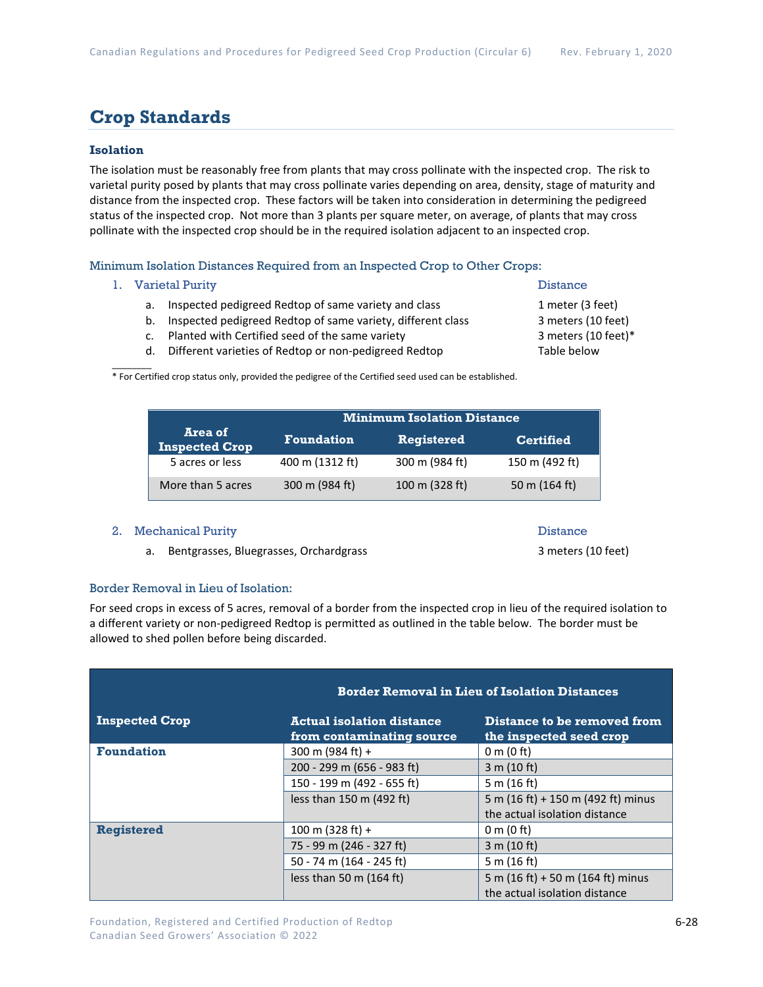## **Crop Standards**

### **Isolation**

The isolation must be reasonably free from plants that may cross pollinate with the inspected crop. The risk to varietal purity posed by plants that may cross pollinate varies depending on area, density, stage of maturity and distance from the inspected crop. These factors will be taken into consideration in determining the pedigreed status of the inspected crop. Not more than 3 plants per square meter, on average, of plants that may cross pollinate with the inspected crop should be in the required isolation adjacent to an inspected crop.

Minimum Isolation Distances Required from an Inspected Crop to Other Crops:

1. Varietal Purity **Distance** 

 $\mathcal{L}$ 

- a. Inspected pedigreed Redtop of same variety and class 1 meter (3 feet)
- b. Inspected pedigreed Redtop of same variety, different class 3 meters (10 feet)
- c. Planted with Certified seed of the same variety 3 meters (10 feet)\*
- d. Different varieties of Redtop or non-pedigreed Redtop Table below

\* For Certified crop status only, provided the pedigree of the Certified seed used can be established.

|                                  | <b>Minimum Isolation Distance</b> |                   |                  |
|----------------------------------|-----------------------------------|-------------------|------------------|
| Area of<br><b>Inspected Crop</b> | <b>Foundation</b>                 | <b>Registered</b> | <b>Certified</b> |
| 5 acres or less                  | 400 m (1312 ft)                   | 300 m (984 ft)    | 150 m (492 ft)   |
| More than 5 acres                | 300 m (984 ft)                    | 100 m (328 ft)    | 50 m $(164 ft)$  |

#### 2. Mechanical Purity **Distance** Distance

a. Bentgrasses, Bluegrasses, Orchardgrass 3 meters (10 feet)

#### Border Removal in Lieu of Isolation:

For seed crops in excess of 5 acres, removal of a border from the inspected crop in lieu of the required isolation to a different variety or non-pedigreed Redtop is permitted as outlined in the table below. The border must be allowed to shed pollen before being discarded.

|                       |                                                         | <b>Border Removal in Lieu of Isolation Distances</b>               |  |  |
|-----------------------|---------------------------------------------------------|--------------------------------------------------------------------|--|--|
| <b>Inspected Crop</b> | Actual isolation distance.<br>from contaminating source | Distance to be removed from<br>the inspected seed crop             |  |  |
| <b>Foundation</b>     | 300 m (984 ft) +                                        | $0 \text{ m}$ (0 ft)                                               |  |  |
|                       | 200 - 299 m (656 - 983 ft)                              | 3 m (10 ft)                                                        |  |  |
|                       | 150 - 199 m (492 - 655 ft)                              | 5 m $(16 ft)$                                                      |  |  |
|                       | less than 150 m (492 ft)                                | 5 m (16 ft) + 150 m (492 ft) minus                                 |  |  |
|                       |                                                         | the actual isolation distance                                      |  |  |
| <b>Registered</b>     | 100 m (328 ft) +                                        | $0 \text{ m}$ (0 ft)                                               |  |  |
|                       | 75 - 99 m (246 - 327 ft)                                | 3 m (10 ft)                                                        |  |  |
|                       | 50 - 74 m (164 - 245 ft)                                | 5 m $(16 ft)$                                                      |  |  |
|                       | less than 50 m $(164 ft)$                               | 5 m (16 ft) + 50 m (164 ft) minus<br>the actual isolation distance |  |  |